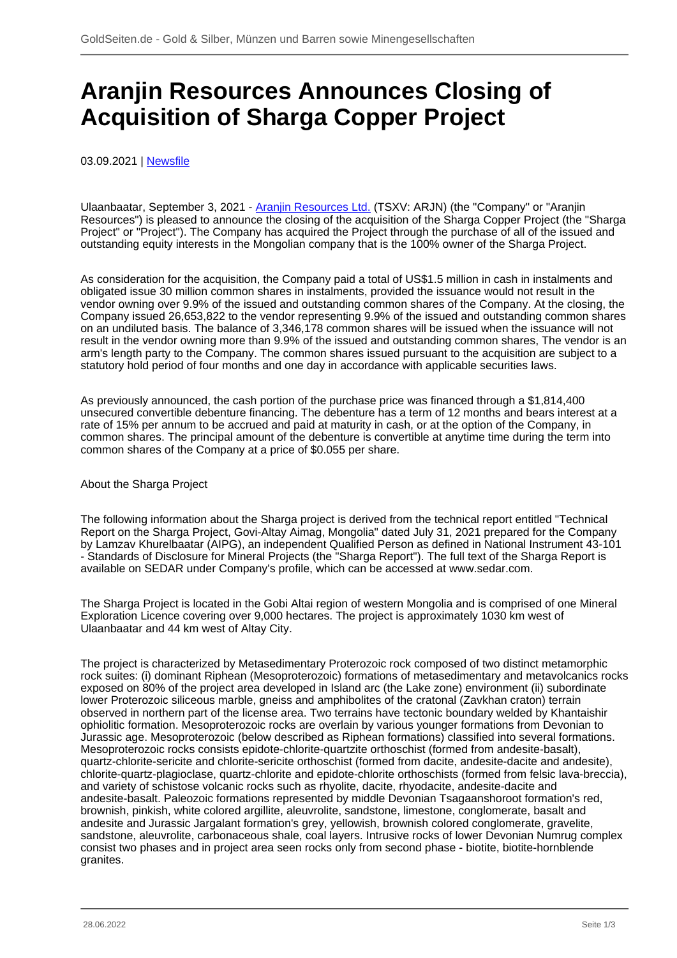## **Aranjin Resources Announces Closing of Acquisition of Sharga Copper Project**

03.09.2021 | [Newsfile](/profil/273--Newsfile)

Ulaanbaatar, September 3, 2021 - [Aranjin Resources Ltd.](/minen/3416--Aranjin-Resources-Ltd) (TSXV: ARJN) (the "Company" or "Aranjin Resources") is pleased to announce the closing of the acquisition of the Sharga Copper Project (the "Sharga Project" or "Project"). The Company has acquired the Project through the purchase of all of the issued and outstanding equity interests in the Mongolian company that is the 100% owner of the Sharga Project.

As consideration for the acquisition, the Company paid a total of US\$1.5 million in cash in instalments and obligated issue 30 million common shares in instalments, provided the issuance would not result in the vendor owning over 9.9% of the issued and outstanding common shares of the Company. At the closing, the Company issued 26,653,822 to the vendor representing 9.9% of the issued and outstanding common shares on an undiluted basis. The balance of 3,346,178 common shares will be issued when the issuance will not result in the vendor owning more than 9.9% of the issued and outstanding common shares, The vendor is an arm's length party to the Company. The common shares issued pursuant to the acquisition are subject to a statutory hold period of four months and one day in accordance with applicable securities laws.

As previously announced, the cash portion of the purchase price was financed through a \$1,814,400 unsecured convertible debenture financing. The debenture has a term of 12 months and bears interest at a rate of 15% per annum to be accrued and paid at maturity in cash, or at the option of the Company, in common shares. The principal amount of the debenture is convertible at anytime time during the term into common shares of the Company at a price of \$0.055 per share.

## About the Sharga Project

The following information about the Sharga project is derived from the technical report entitled "Technical Report on the Sharga Project, Govi-Altay Aimag, Mongolia" dated July 31, 2021 prepared for the Company by Lamzav Khurelbaatar (AIPG), an independent Qualified Person as defined in National Instrument 43-101 - Standards of Disclosure for Mineral Projects (the "Sharga Report"). The full text of the Sharga Report is available on SEDAR under Company's profile, which can be accessed at www.sedar.com.

The Sharga Project is located in the Gobi Altai region of western Mongolia and is comprised of one Mineral Exploration Licence covering over 9,000 hectares. The project is approximately 1030 km west of Ulaanbaatar and 44 km west of Altay City.

The project is characterized by Metasedimentary Proterozoic rock composed of two distinct metamorphic rock suites: (i) dominant Riphean (Mesoproterozoic) formations of metasedimentary and metavolcanics rocks exposed on 80% of the project area developed in Island arc (the Lake zone) environment (ii) subordinate lower Proterozoic siliceous marble, gneiss and amphibolites of the cratonal (Zavkhan craton) terrain observed in northern part of the license area. Two terrains have tectonic boundary welded by Khantaishir ophiolitic formation. Mesoproterozoic rocks are overlain by various younger formations from Devonian to Jurassic age. Mesoproterozoic (below described as Riphean formations) classified into several formations. Mesoproterozoic rocks consists epidote-chlorite-quartzite orthoschist (formed from andesite-basalt), quartz-chlorite-sericite and chlorite-sericite orthoschist (formed from dacite, andesite-dacite and andesite), chlorite-quartz-plagioclase, quartz-chlorite and epidote-chlorite orthoschists (formed from felsic lava-breccia), and variety of schistose volcanic rocks such as rhyolite, dacite, rhyodacite, andesite-dacite and andesite-basalt. Paleozoic formations represented by middle Devonian Tsagaanshoroot formation's red, brownish, pinkish, white colored argillite, aleuvrolite, sandstone, limestone, conglomerate, basalt and andesite and Jurassic Jargalant formation's grey, yellowish, brownish colored conglomerate, gravelite, sandstone, aleuvrolite, carbonaceous shale, coal layers. Intrusive rocks of lower Devonian Numrug complex consist two phases and in project area seen rocks only from second phase - biotite, biotite-hornblende granites.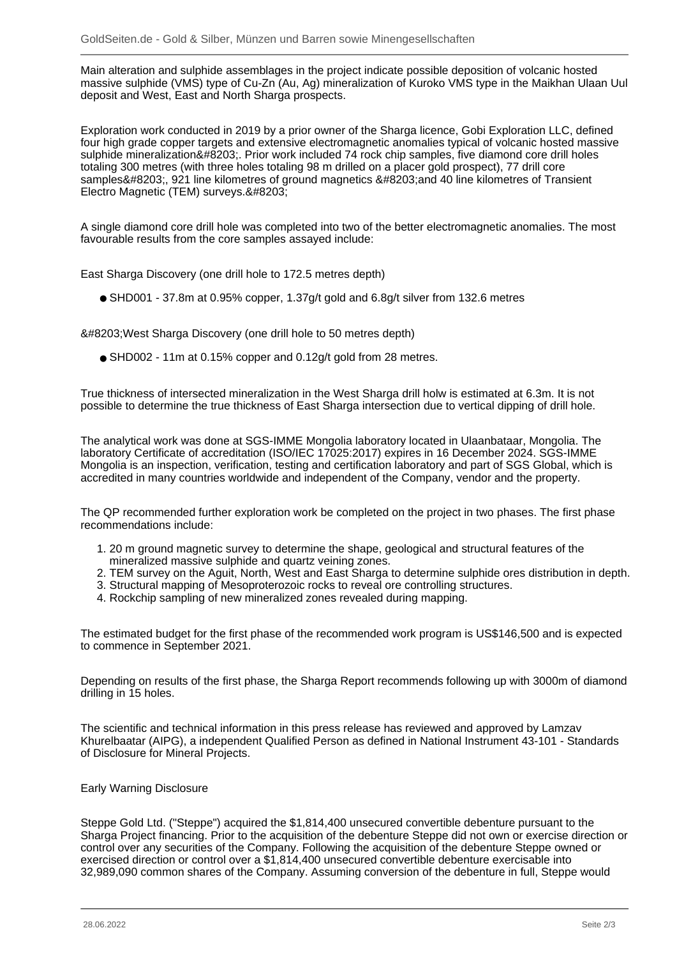Main alteration and sulphide assemblages in the project indicate possible deposition of volcanic hosted massive sulphide (VMS) type of Cu-Zn (Au, Ag) mineralization of Kuroko VMS type in the Maikhan Ulaan Uul deposit and West, East and North Sharga prospects.

Exploration work conducted in 2019 by a prior owner of the Sharga licence, Gobi Exploration LLC, defined four high grade copper targets and extensive electromagnetic anomalies typical of volcanic hosted massive sulphide mineralization ​ Prior work included 74 rock chip samples, five diamond core drill holes totaling 300 metres (with three holes totaling 98 m drilled on a placer gold prospect), 77 drill core samples & #8203; 921 line kilometres of ground magnetics & #8203; and 40 line kilometres of Transient Electro Magnetic (TEM) surveys. ​

A single diamond core drill hole was completed into two of the better electromagnetic anomalies. The most favourable results from the core samples assayed include:

East Sharga Discovery (one drill hole to 172.5 metres depth)

● SHD001 - 37.8m at 0.95% copper, 1.37g/t gold and 6.8g/t silver from 132.6 metres

​ West Sharga Discovery (one drill hole to 50 metres depth)

● SHD002 - 11m at 0.15% copper and 0.12g/t gold from 28 metres.

True thickness of intersected mineralization in the West Sharga drill holw is estimated at 6.3m. It is not possible to determine the true thickness of East Sharga intersection due to vertical dipping of drill hole.

The analytical work was done at SGS-IMME Mongolia laboratory located in Ulaanbataar, Mongolia. The laboratory Certificate of accreditation (ISO/IEC 17025:2017) expires in 16 December 2024. SGS-IMME Mongolia is an inspection, verification, testing and certification laboratory and part of SGS Global, which is accredited in many countries worldwide and independent of the Company, vendor and the property.

The QP recommended further exploration work be completed on the project in two phases. The first phase recommendations include:

- 1. 20 m ground magnetic survey to determine the shape, geological and structural features of the mineralized massive sulphide and quartz veining zones.
- 2. TEM survey on the Aguit, North, West and East Sharga to determine sulphide ores distribution in depth.
- 3. Structural mapping of Mesoproterozoic rocks to reveal ore controlling structures.
- 4. Rockchip sampling of new mineralized zones revealed during mapping.

The estimated budget for the first phase of the recommended work program is US\$146,500 and is expected to commence in September 2021.

Depending on results of the first phase, the Sharga Report recommends following up with 3000m of diamond drilling in 15 holes.

The scientific and technical information in this press release has reviewed and approved by Lamzav Khurelbaatar (AIPG), a independent Qualified Person as defined in National Instrument 43-101 - Standards of Disclosure for Mineral Projects.

## Early Warning Disclosure

Steppe Gold Ltd. ("Steppe") acquired the \$1,814,400 unsecured convertible debenture pursuant to the Sharga Project financing. Prior to the acquisition of the debenture Steppe did not own or exercise direction or control over any securities of the Company. Following the acquisition of the debenture Steppe owned or exercised direction or control over a \$1,814,400 unsecured convertible debenture exercisable into 32,989,090 common shares of the Company. Assuming conversion of the debenture in full, Steppe would